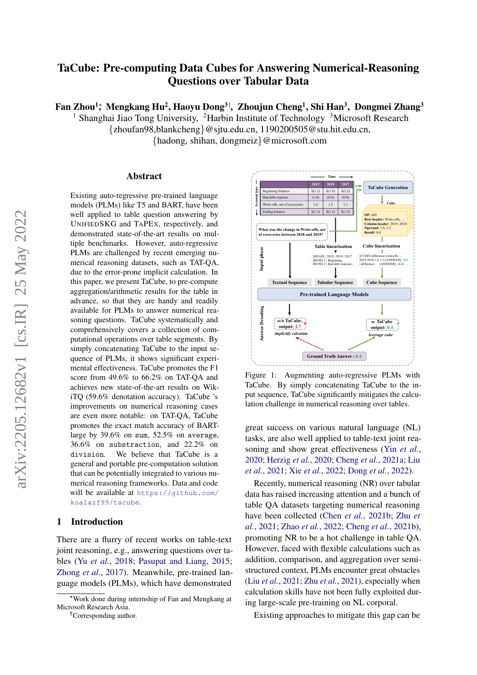# TaCube: Pre-computing Data Cubes for Answering Numerical-Reasoning Questions over Tabular Data

Fan Zhou<sup>1</sup>;ँ Mengkang Hu<sup>2</sup>, Haoyu Dong<sup>3†</sup>, Zhoujun Cheng<sup>1</sup>, Shi Han<sup>3</sup>, Dongmei Zhang<sup>3</sup>

<sup>1</sup> Shanghai Jiao Tong University, <sup>2</sup>Harbin Institute of Technology <sup>3</sup>Microsoft Research

{zhoufan98,blankcheng}@sjtu.edu.cn, 1190200505@stu.hit.edu.cn, {hadong, shihan, dongmeiz}@microsoft.com

#### Abstract

Existing auto-regressive pre-trained language models (PLMs) like T5 and BART, have been well applied to table question answering by UNIFIEDSKG and TAPEX, respectively, and demonstrated state-of-the-art results on multiple benchmarks. However, auto-regressive PLMs are challenged by recent emerging numerical reasoning datasets, such as TAT-QA, due to the error-prone implicit calculation. In this paper, we present TaCube, to pre-compute aggregation/arithmetic results for the table in advance, so that they are handy and readily available for PLMs to answer numerical reasoning questions. TaCube systematically and comprehensively covers a collection of computational operations over table segments. By simply concatenating TaCube to the input sequence of PLMs, it shows significant experimental effectiveness. TaCube promotes the F1 score from 49.6% to 66.2% on TAT-QA and achieves new state-of-the-art results on WikiTQ (59.6% denotation accuracy). TaCube 's improvements on numerical reasoning cases are even more notable: on TAT-QA, TaCube promotes the exact match accuracy of BARTlarge by 39.6% on sum, 52.5% on average, 36.6% on substraction, and 22.2% on division. We believe that TaCube is a general and portable pre-computation solution that can be potentially integrated to various numerical reasoning frameworks. Data and code will be available at [https://github.com/](https://github.com/koalazf99/tacube) [koalazf99/tacube](https://github.com/koalazf99/tacube).

# <span id="page-0-1"></span>1 Introduction

There are a flurry of recent works on table-text joint reasoning, e.g., answering questions over tables (Yu *[et al.](#page-9-0)*, [2018;](#page-9-0) [Pasupat and Liang,](#page-9-1) [2015;](#page-9-1) [Zhong](#page-9-2) *et al.*, [2017\)](#page-9-2). Meanwhile, pre-trained language models (PLMs), which have demonstrated

†Corresponding author.

<span id="page-0-0"></span>

Figure 1: Augmenting auto-regressive PLMs with TaCube. By simply concatenating TaCube to the input sequence, TaCube significantly mitigates the calculation challenge in numerical reasoning over tables.

great success on various natural language (NL) tasks, are also well applied to table-text joint reasoning and show great effectiveness (Yin *[et al.](#page-9-3)*, [2020;](#page-9-3) [Herzig](#page-9-4) *et al.*, [2020;](#page-9-4) [Cheng](#page-8-0) *et al.*, [2021a;](#page-8-0) [Liu](#page-9-5) *[et al.](#page-9-5)*, [2021;](#page-9-5) Xie *[et al.](#page-9-6)*, [2022;](#page-9-6) [Dong](#page-8-1) *et al.*, [2022\)](#page-8-1).

Recently, numerical reasoning (NR) over tabular data has raised increasing attention and a bunch of table QA datasets targeting numerical reasoning have been collected [\(Chen](#page-8-2) *et al.*, [2021b;](#page-8-2) [Zhu](#page-10-0) *et [al.](#page-10-0)*, [2021;](#page-10-0) [Zhao](#page-9-7) *et al.*, [2022;](#page-9-7) [Cheng](#page-8-3) *et al.*, [2021b\)](#page-8-3), promoting NR to be a hot challenge in table QA. However, faced with flexible calculations such as addition, comparison, and aggregation over semistructured context, PLMs encounter great obstacles (Liu *[et al.](#page-9-5)*, [2021;](#page-9-5) Zhu *[et al.](#page-10-0)*, [2021\)](#page-10-0), especially when calculation skills have not been fully exploited during large-scale pre-training on NL corporal.

Existing approaches to mitigate this gap can be

<sup>∗</sup>Work done during internship of Fan and Mengkang at Microsoft Research Asia.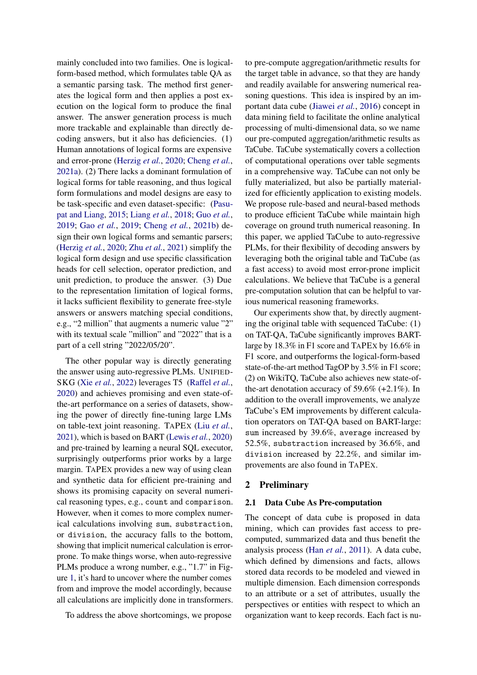mainly concluded into two families. One is logicalform-based method, which formulates table QA as a semantic parsing task. The method first generates the logical form and then applies a post execution on the logical form to produce the final answer. The answer generation process is much more trackable and explainable than directly decoding answers, but it also has deficiencies. (1) Human annotations of logical forms are expensive and error-prone [\(Herzig](#page-9-4) *et al.*, [2020;](#page-9-4) [Cheng](#page-8-0) *et al.*, [2021a\)](#page-8-0). (2) There lacks a dominant formulation of logical forms for table reasoning, and thus logical form formulations and model designs are easy to be task-specific and even dataset-specific: [\(Pasu](#page-9-1)[pat and Liang,](#page-9-1) [2015;](#page-9-1) [Liang](#page-9-8) *et al.*, [2018;](#page-9-8) Guo *[et al.](#page-8-4)*, [2019;](#page-8-4) Gao *[et al.](#page-8-5)*, [2019;](#page-8-5) [Cheng](#page-8-3) *et al.*, [2021b\)](#page-8-3) design their own logical forms and semantic parsers; [\(Herzig](#page-9-4) *et al.*, [2020;](#page-9-4) Zhu *[et al.](#page-10-0)*, [2021\)](#page-10-0) simplify the logical form design and use specific classification heads for cell selection, operator prediction, and unit prediction, to produce the answer. (3) Due to the representation limitation of logical forms, it lacks sufficient flexibility to generate free-style answers or answers matching special conditions, e.g., "2 million" that augments a numeric value "2" with its textual scale "million" and "2022" that is a part of a cell string "2022/05/20".

The other popular way is directly generating the answer using auto-regressive PLMs. UNIFIED-SKG (Xie *[et al.](#page-9-6)*, [2022\)](#page-9-6) leverages T5 [\(Raffel](#page-9-9) *et al.*, [2020\)](#page-9-9) and achieves promising and even state-ofthe-art performance on a series of datasets, showing the power of directly fine-tuning large LMs on table-text joint reasoning. TAPEX (Liu *[et al.](#page-9-5)*, [2021\)](#page-9-5), which is based on BART [\(Lewis](#page-9-10) *et al.*, [2020\)](#page-9-10) and pre-trained by learning a neural SQL executor, surprisingly outperforms prior works by a large margin. TAPEX provides a new way of using clean and synthetic data for efficient pre-training and shows its promising capacity on several numerical reasoning types, e.g., count and comparison. However, when it comes to more complex numerical calculations involving sum, substraction, or division, the accuracy falls to the bottom, showing that implicit numerical calculation is errorprone. To make things worse, when auto-regressive PLMs produce a wrong number, e.g., "1.7" in Figure [1,](#page-0-0) it's hard to uncover where the number comes from and improve the model accordingly, because all calculations are implicitly done in transformers.

To address the above shortcomings, we propose

to pre-compute aggregation/arithmetic results for the target table in advance, so that they are handy and readily available for answering numerical reasoning questions. This idea is inspired by an important data cube [\(Jiawei](#page-9-11) *et al.*, [2016\)](#page-9-11) concept in data mining field to facilitate the online analytical processing of multi-dimensional data, so we name our pre-computed aggregation/arithmetic results as TaCube. TaCube systematically covers a collection of computational operations over table segments in a comprehensive way. TaCube can not only be fully materialized, but also be partially materialized for efficiently application to existing models. We propose rule-based and neural-based methods to produce efficient TaCube while maintain high coverage on ground truth numerical reasoning. In this paper, we applied TaCube to auto-regressive PLMs, for their flexibility of decoding answers by leveraging both the original table and TaCube (as a fast access) to avoid most error-prone implicit calculations. We believe that TaCube is a general pre-computation solution that can be helpful to various numerical reasoning frameworks.

Our experiments show that, by directly augmenting the original table with sequenced TaCube: (1) on TAT-QA, TaCube significantly improves BARTlarge by 18.3% in F1 score and TAPEX by 16.6% in F1 score, and outperforms the logical-form-based state-of-the-art method TagOP by 3.5% in F1 score; (2) on WikiTQ, TaCube also achieves new state-ofthe-art denotation accuracy of 59.6% (+2.1%). In addition to the overall improvements, we analyze TaCube's EM improvements by different calculation operators on TAT-QA based on BART-large: sum increased by 39.6%, average increased by 52.5%, substraction increased by 36.6%, and division increased by 22.2%, and similar improvements are also found in TAPEX.

#### 2 Preliminary

#### 2.1 Data Cube As Pre-computation

The concept of data cube is proposed in data mining, which can provides fast access to precomputed, summarized data and thus benefit the analysis process (Han *[et al.](#page-9-12)*, [2011\)](#page-9-12). A data cube, which defined by dimensions and facts, allows stored data records to be modeled and viewed in multiple dimension. Each dimension corresponds to an attribute or a set of attributes, usually the perspectives or entities with respect to which an organization want to keep records. Each fact is nu-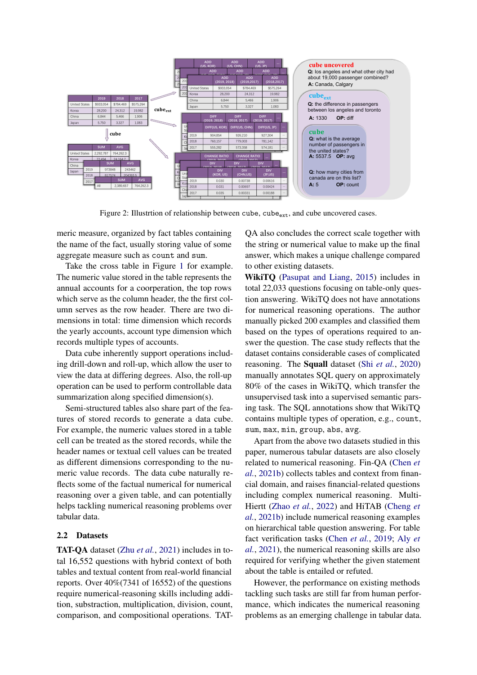<span id="page-2-0"></span>

Figure 2: Illustrtion of relationship between cube,  $cube_{ext}$ , and cube uncovered cases.

meric measure, organized by fact tables containing the name of the fact, usually storing value of some aggregate measure such as count and sum.

Take the cross table in Figure [1](#page-0-0) for example. The numeric value stored in the table represents the annual accounts for a coorperation, the top rows which serve as the column header, the the first column serves as the row header. There are two dimensions in total: time dimension which records the yearly accounts, account type dimension which records multiple types of accounts.

Data cube inherently support operations including drill-down and roll-up, which allow the user to view the data at differing degrees. Also, the roll-up operation can be used to perform controllable data summarization along specified dimension(s).

Semi-structured tables also share part of the features of stored records to generate a data cube. For example, the numeric values stored in a table cell can be treated as the stored records, while the header names or textual cell values can be treated as different dimensions corresponding to the numeric value records. The data cube naturally reflects some of the factual numerical for numerical reasoning over a given table, and can potentially helps tackling numerical reasoning problems over tabular data.

### 2.2 Datasets

TAT-QA dataset (Zhu *[et al.](#page-10-0)*, [2021\)](#page-10-0) includes in total 16,552 questions with hybrid context of both tables and textual content from real-world financial reports. Over 40%(7341 of 16552) of the questions require numerical-reasoning skills including addition, substraction, multiplication, division, count, comparison, and compositional operations. TAT- QA also concludes the correct scale together with the string or numerical value to make up the final answer, which makes a unique challenge compared to other existing datasets.

WikiTQ [\(Pasupat and Liang,](#page-9-1) [2015\)](#page-9-1) includes in total 22,033 questions focusing on table-only question answering. WikiTQ does not have annotations for numerical reasoning operations. The author manually picked 200 examples and classified them based on the types of operations required to answer the question. The case study reflects that the dataset contains considerable cases of complicated reasoning. The Squall dataset (Shi *[et al.](#page-9-13)*, [2020\)](#page-9-13) manually annotates SQL query on approximately 80% of the cases in WikiTQ, which transfer the unsupervised task into a supervised semantic parsing task. The SQL annotations show that WikiTQ contains multiple types of operation, e.g., count, sum, max, min, group, abs, avg.

Apart from the above two datasets studied in this paper, numerous tabular datasets are also closely related to numerical reasoning. Fin-QA [\(Chen](#page-8-2) *et [al.](#page-8-2)*, [2021b\)](#page-8-2) collects tables and context from financial domain, and raises financial-related questions including complex numerical reasoning. Multi-Hiertt [\(Zhao](#page-9-7) *et al.*, [2022\)](#page-9-7) and HiTAB [\(Cheng](#page-8-3) *et [al.](#page-8-3)*, [2021b\)](#page-8-3) include numerical reasoning examples on hierarchical table question answering. For table fact verification tasks [\(Chen](#page-8-6) *et al.*, [2019;](#page-8-6) [Aly](#page-8-7) *et [al.](#page-8-7)*, [2021\)](#page-8-7), the numerical reasoning skills are also required for verifying whether the given statement about the table is entailed or refuted.

However, the performance on existing methods tackling such tasks are still far from human performance, which indicates the numerical reasoning problems as an emerging challenge in tabular data.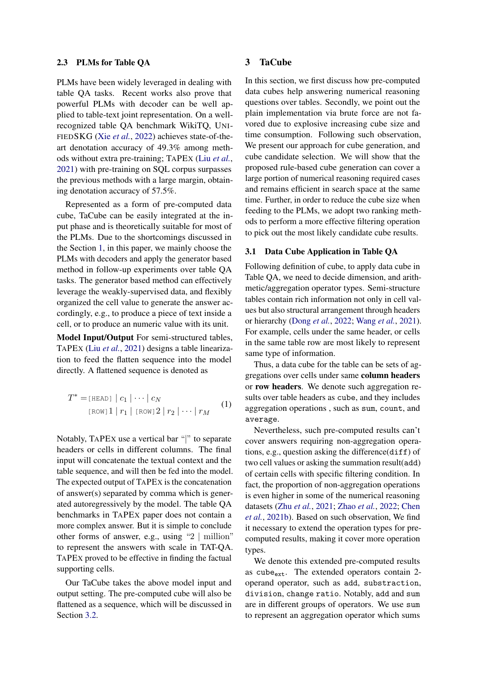#### 2.3 PLMs for Table QA

PLMs have been widely leveraged in dealing with table QA tasks. Recent works also prove that powerful PLMs with decoder can be well applied to table-text joint representation. On a wellrecognized table QA benchmark WikiTQ, UNI-FIEDSKG (Xie *[et al.](#page-9-6)*, [2022\)](#page-9-6) achieves state-of-theart denotation accuracy of 49.3% among methods without extra pre-training; TAPEX (Liu *[et al.](#page-9-5)*, [2021\)](#page-9-5) with pre-training on SQL corpus surpasses the previous methods with a large margin, obtaining denotation accuracy of 57.5%.

Represented as a form of pre-computed data cube, TaCube can be easily integrated at the input phase and is theoretically suitable for most of the PLMs. Due to the shortcomings discussed in the Section [1,](#page-0-1) in this paper, we mainly choose the PLMs with decoders and apply the generator based method in follow-up experiments over table QA tasks. The generator based method can effectively leverage the weakly-supervised data, and flexibly organized the cell value to generate the answer accordingly, e.g., to produce a piece of text inside a cell, or to produce an numeric value with its unit.

Model Input/Output For semi-structured tables, TAPEX (Liu *[et al.](#page-9-5)*, [2021\)](#page-9-5) designs a table linearization to feed the flatten sequence into the model directly. A flattened sequence is denoted as

$$
T^* = \text{[HEAD]} \mid c_1 \mid \dots \mid c_N
$$
  
\n
$$
\text{[Row]} \quad 1 \mid r_1 \mid \text{[Row]} \quad 2 \mid r_2 \mid \dots \mid r_M
$$
 (1)

Notably, TAPEX use a vertical bar "|" to separate headers or cells in different columns. The final input will concatenate the textual context and the table sequence, and will then be fed into the model. The expected output of TAPEX is the concatenation of answer(s) separated by comma which is generated autoregressively by the model. The table QA benchmarks in TAPEX paper does not contain a more complex answer. But it is simple to conclude other forms of answer, e.g., using "2 | million" to represent the answers with scale in TAT-QA. TAPEX proved to be effective in finding the factual supporting cells.

Our TaCube takes the above model input and output setting. The pre-computed cube will also be flattened as a sequence, which will be discussed in Section [3.2.](#page-4-0)

## 3 TaCube

In this section, we first discuss how pre-computed data cubes help answering numerical reasoning questions over tables. Secondly, we point out the plain implementation via brute force are not favored due to explosive increasing cube size and time consumption. Following such observation, We present our approach for cube generation, and cube candidate selection. We will show that the proposed rule-based cube generation can cover a large portion of numerical reasoning required cases and remains efficient in search space at the same time. Further, in order to reduce the cube size when feeding to the PLMs, we adopt two ranking methods to perform a more effective filtering operation to pick out the most likely candidate cube results.

#### <span id="page-3-0"></span>3.1 Data Cube Application in Table QA

Following definition of cube, to apply data cube in Table QA, we need to decide dimension, and arithmetic/aggregation operator types. Semi-structure tables contain rich information not only in cell values but also structural arrangement through headers or hierarchy [\(Dong](#page-8-1) *et al.*, [2022;](#page-8-1) [Wang](#page-9-14) *et al.*, [2021\)](#page-9-14). For example, cells under the same header, or cells in the same table row are most likely to represent same type of information.

Thus, a data cube for the table can be sets of aggregations over cells under same column headers or row headers. We denote such aggregation results over table headers as cube, and they includes aggregation operations , such as sum, count, and average.

Nevertheless, such pre-computed results can't cover answers requiring non-aggregation operations, e.g., question asking the difference(diff) of two cell values or asking the summation result(add) of certain cells with specific filtering condition. In fact, the proportion of non-aggregation operations is even higher in some of the numerical reasoning datasets (Zhu *[et al.](#page-10-0)*, [2021;](#page-10-0) [Zhao](#page-9-7) *et al.*, [2022;](#page-9-7) [Chen](#page-8-2) *[et al.](#page-8-2)*, [2021b\)](#page-8-2). Based on such observation, We find it necessary to extend the operation types for precomputed results, making it cover more operation types.

We denote this extended pre-computed results as cube $_{ext}$ . The extended operators contain 2operand operator, such as add, substraction, division, change ratio. Notably, add and sum are in different groups of operators. We use sum to represent an aggregation operator which sums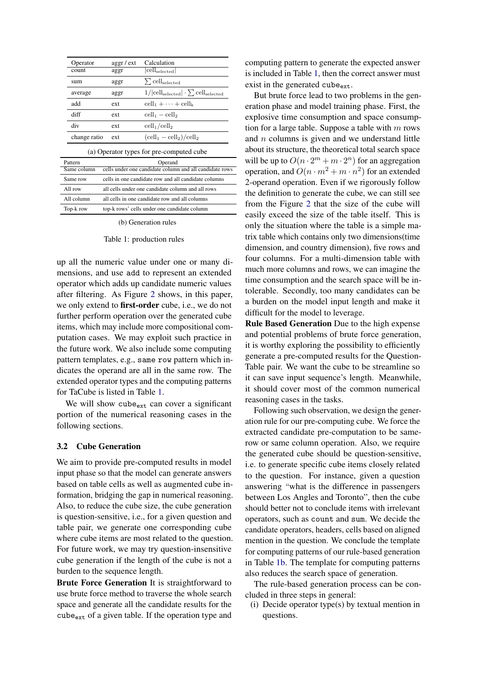<span id="page-4-1"></span>

| Operator     | $\arg\left( \frac{\pi}{2} \right)$ | Calculation                                      |
|--------------|------------------------------------|--------------------------------------------------|
| count        | aggr                               | $ {\rm cell}_{\rm selected} $                    |
| sum          | aggr                               | $\Sigma$ cell <sub>selected</sub>                |
| average      | aggr                               | $1/ cell_{selected}  \cdot \sum cell_{selected}$ |
| add          | ext                                | $cell_1 + \cdots + cell_k$                       |
| diff         | ext.                               | $\text{cell}_1 - \text{cell}_2$                  |
| div          | ext.                               | $\text{cell}_1/\text{cell}_2$                    |
| change ratio | ext                                | $(\text{cell}_1 - \text{cell}_2)/\text{cell}_2$  |

(a) Operator types for pre-computed cube

| Pattern     | Operand                                                 |
|-------------|---------------------------------------------------------|
| Same column | cells under one candidate column and all candidate rows |
| Same row    | cells in one candidate row and all candidate columns    |
| All row     | all cells under one candidate column and all rows       |
| All column  | all cells in one candidate row and all columns          |
| Top-k row   | top-k rows' cells under one candidate column            |

(b) Generation rules

#### Table 1: production rules

up all the numeric value under one or many dimensions, and use add to represent an extended operator which adds up candidate numeric values after filtering. As Figure [2](#page-2-0) shows, in this paper, we only extend to first-order cube, i.e., we do not further perform operation over the generated cube items, which may include more compositional computation cases. We may exploit such practice in the future work. We also include some computing pattern templates, e.g., same row pattern which indicates the operand are all in the same row. The extended operator types and the computing patterns for TaCube is listed in Table [1.](#page-4-1)

We will show cube<sub>ext</sub> can cover a significant portion of the numerical reasoning cases in the following sections.

#### <span id="page-4-0"></span>3.2 Cube Generation

We aim to provide pre-computed results in model input phase so that the model can generate answers based on table cells as well as augmented cube information, bridging the gap in numerical reasoning. Also, to reduce the cube size, the cube generation is question-sensitive, i.e., for a given question and table pair, we generate one corresponding cube where cube items are most related to the question. For future work, we may try question-insensitive cube generation if the length of the cube is not a burden to the sequence length.

Brute Force Generation It is straightforward to use brute force method to traverse the whole search space and generate all the candidate results for the  $cube_{ext}$  of a given table. If the operation type and computing pattern to generate the expected answer is included in Table [1,](#page-4-1) then the correct answer must exist in the generated cube $_{\rm ext.}$ 

But brute force lead to two problems in the generation phase and model training phase. First, the explosive time consumption and space consumption for a large table. Suppose a table with  $m$  rows and  $n$  columns is given and we understand little about its structure, the theoretical total search space will be up to  $O(n \cdot 2^m + m \cdot 2^n)$  for an aggregation operation, and  $O(n \cdot m^2 + m \cdot n^2)$  for an extended 2-operand operation. Even if we rigorously follow the definition to generate the cube, we can still see from the Figure [2](#page-2-0) that the size of the cube will easily exceed the size of the table itself. This is only the situation where the table is a simple matrix table which contains only two dimensions(time dimension, and country dimension), five rows and four columns. For a multi-dimension table with much more columns and rows, we can imagine the time consumption and the search space will be intolerable. Secondly, too many candidates can be a burden on the model input length and make it difficult for the model to leverage.

Rule Based Generation Due to the high expense and potential problems of brute force generation, it is worthy exploring the possibility to efficiently generate a pre-computed results for the Question-Table pair. We want the cube to be streamline so it can save input sequence's length. Meanwhile, it should cover most of the common numerical reasoning cases in the tasks.

Following such observation, we design the generation rule for our pre-computing cube. We force the extracted candidate pre-computation to be samerow or same column operation. Also, we require the generated cube should be question-sensitive, i.e. to generate specific cube items closely related to the question. For instance, given a question answering "what is the difference in passengers between Los Angles and Toronto", then the cube should better not to conclude items with irrelevant operators, such as count and sum. We decide the candidate operators, headers, cells based on aligned mention in the question. We conclude the template for computing patterns of our rule-based generation in Table [1b.](#page-4-1) The template for computing patterns also reduces the search space of generation.

The rule-based generation process can be concluded in three steps in general:

(i) Decide operator type(s) by textual mention in questions.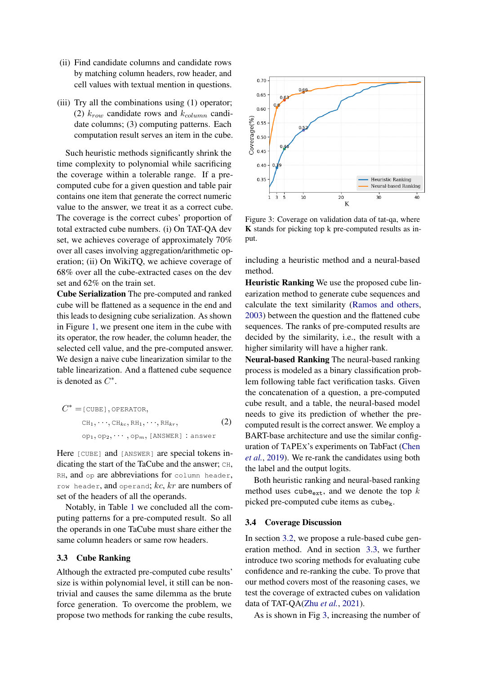- (ii) Find candidate columns and candidate rows by matching column headers, row header, and cell values with textual mention in questions.
- (iii) Try all the combinations using (1) operator; (2)  $k_{row}$  candidate rows and  $k_{column}$  candidate columns; (3) computing patterns. Each computation result serves an item in the cube.

Such heuristic methods significantly shrink the time complexity to polynomial while sacrificing the coverage within a tolerable range. If a precomputed cube for a given question and table pair contains one item that generate the correct numeric value to the answer, we treat it as a correct cube. The coverage is the correct cubes' proportion of total extracted cube numbers. (i) On TAT-QA dev set, we achieves coverage of approximately 70% over all cases involving aggregation/arithmetic operation; (ii) On WikiTQ, we achieve coverage of 68% over all the cube-extracted cases on the dev set and 62% on the train set.

Cube Serialization The pre-computed and ranked cube will be flattened as a sequence in the end and this leads to designing cube serialization. As shown in Figure [1,](#page-0-0) we present one item in the cube with its operator, the row header, the column header, the selected cell value, and the pre-computed answer. We design a naive cube linearization similar to the table linearization. And a flattened cube sequence is denoted as  $C^*$ .

$$
C^* = [\text{CUBE}], \text{OPERATOR},
$$
  
\n
$$
CH_1, \cdots, CH_{kc}, RH_1, \cdots, RH_{kr},
$$
  
\n
$$
op_1, op_2, \cdots, op_m, [\text{ANSWER}] : answer
$$
\n(2)

Here [CUBE] and [ANSWER] are special tokens indicating the start of the TaCube and the answer; CH, RH, and op are abbreviations for column header, row header, and operand;  $kc$ ,  $kr$  are numbers of set of the headers of all the operands.

Notably, in Table [1](#page-4-1) we concluded all the computing patterns for a pre-computed result. So all the operands in one TaCube must share either the same column headers or same row headers.

## <span id="page-5-0"></span>3.3 Cube Ranking

Although the extracted pre-computed cube results' size is within polynomial level, it still can be nontrivial and causes the same dilemma as the brute force generation. To overcome the problem, we propose two methods for ranking the cube results,

<span id="page-5-1"></span>

Figure 3: Coverage on validation data of tat-qa, where K stands for picking top k pre-computed results as input.

including a heuristic method and a neural-based method.

Heuristic Ranking We use the proposed cube linearization method to generate cube sequences and calculate the text similarity [\(Ramos and others,](#page-9-15) [2003\)](#page-9-15) between the question and the flattened cube sequences. The ranks of pre-computed results are decided by the similarity, i.e., the result with a higher similarity will have a higher rank.

Neural-based Ranking The neural-based ranking process is modeled as a binary classification problem following table fact verification tasks. Given the concatenation of a question, a pre-computed cube result, and a table, the neural-based model needs to give its prediction of whether the precomputed result is the correct answer. We employ a BART-base architecture and use the similar configuration of TAPEX's experiments on TabFact [\(Chen](#page-8-6) *[et al.](#page-8-6)*, [2019\)](#page-8-6). We re-rank the candidates using both the label and the output logits.

Both heuristic ranking and neural-based ranking method uses cube<sub>ext</sub>, and we denote the top  $k$ picked pre-computed cube items as  $cube<sub>k</sub>$ .

#### 3.4 Coverage Discussion

In section [3.2,](#page-4-0) we propose a rule-based cube generation method. And in section [3.3,](#page-5-0) we further introduce two scoring methods for evaluating cube confidence and re-ranking the cube. To prove that our method covers most of the reasoning cases, we test the coverage of extracted cubes on validation data of TAT-QA(Zhu *[et al.](#page-10-0)*, [2021\)](#page-10-0).

As is shown in Fig [3,](#page-5-1) increasing the number of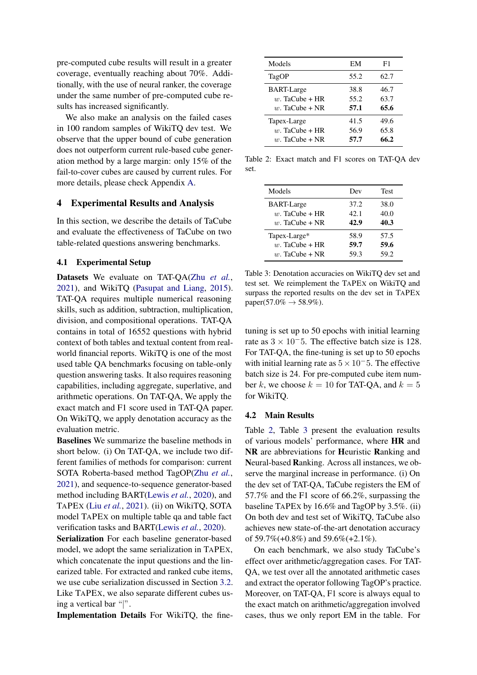pre-computed cube results will result in a greater coverage, eventually reaching about 70%. Additionally, with the use of neural ranker, the coverage under the same number of pre-computed cube results has increased significantly.

We also make an analysis on the failed cases in 100 random samples of WikiTQ dev test. We observe that the upper bound of cube generation does not outperform current rule-based cube generation method by a large margin: only 15% of the fail-to-cover cubes are caused by current rules. For more details, please check Appendix [A.](#page-11-0)

## 4 Experimental Results and Analysis

In this section, we describe the details of TaCube and evaluate the effectiveness of TaCube on two table-related questions answering benchmarks.

#### 4.1 Experimental Setup

Datasets We evaluate on TAT-QA(Zhu *[et al.](#page-10-0)*, [2021\)](#page-10-0), and WikiTQ [\(Pasupat and Liang,](#page-9-1) [2015\)](#page-9-1). TAT-QA requires multiple numerical reasoning skills, such as addition, subtraction, multiplication, division, and compositional operations. TAT-QA contains in total of 16552 questions with hybrid context of both tables and textual content from realworld financial reports. WikiTQ is one of the most used table QA benchmarks focusing on table-only question answering tasks. It also requires reasoning capabilities, including aggregate, superlative, and arithmetic operations. On TAT-QA, We apply the exact match and F1 score used in TAT-QA paper. On WikiTQ, we apply denotation accuracy as the evaluation metric.

Baselines We summarize the baseline methods in short below. (i) On TAT-QA, we include two different families of methods for comparison: current SOTA Roberta-based method TagOP(Zhu *[et al.](#page-10-0)*, [2021\)](#page-10-0), and sequence-to-sequence generator-based method including BART[\(Lewis](#page-9-10) *et al.*, [2020\)](#page-9-10), and TAPEX (Liu *[et al.](#page-9-5)*, [2021\)](#page-9-5). (ii) on WikiTQ, SOTA model TAPEX on multiple table qa and table fact verification tasks and BART[\(Lewis](#page-9-10) *et al.*, [2020\)](#page-9-10).

Serialization For each baseline generator-based model, we adopt the same serialization in TAPEX, which concatenate the input questions and the linearized table. For extracted and ranked cube items, we use cube serialization discussed in Section [3.2.](#page-4-0) Like TAPEX, we also separate different cubes using a vertical bar "|".

Implementation Details For WikiTQ, the fine-

<span id="page-6-0"></span>

| Models            | EМ   | F1   |
|-------------------|------|------|
| TagOP             | 55.2 | 62.7 |
| <b>BART-Large</b> | 38.8 | 46.7 |
| $w$ . TaCube + HR | 55.2 | 63.7 |
| $w$ . TaCube + NR | 57.1 | 65.6 |
| Tapex-Large       | 41.5 | 49.6 |
| $w$ . TaCube + HR | 56.9 | 65.8 |
| $w$ . TaCube + NR | 57.7 | 66.2 |

Table 2: Exact match and F1 scores on TAT-QA dev set.

<span id="page-6-1"></span>

| Models            | Dev  | Test |
|-------------------|------|------|
| <b>BART-Large</b> | 37.2 | 38.0 |
| $w$ . TaCube + HR | 42.1 | 40.0 |
| $w$ . TaCube + NR | 42.9 | 40.3 |
| Tapex-Large*      | 58.9 | 57.5 |
| $w$ . TaCube + HR | 59.7 | 59.6 |
| $w$ . TaCube + NR | 59.3 | 59.2 |

Table 3: Denotation accuracies on WikiTQ dev set and test set. We reimplement the TAPEX on WikiTQ and surpass the reported results on the dev set in TAPEX paper(57.0%  $\to$  58.9%).

tuning is set up to 50 epochs with initial learning rate as  $3 \times 10^{-5}$ . The effective batch size is 128. For TAT-QA, the fine-tuning is set up to 50 epochs with initial learning rate as  $5 \times 10^-5$ . The effective batch size is 24. For pre-computed cube item number k, we choose  $k = 10$  for TAT-QA, and  $k = 5$ for WikiTQ.

#### 4.2 Main Results

Table [2,](#page-6-0) Table [3](#page-6-1) present the evaluation results of various models' performance, where HR and NR are abbreviations for Heuristic Ranking and Neural-based Ranking. Across all instances, we observe the marginal increase in performance. (i) On the dev set of TAT-QA, TaCube registers the EM of 57.7% and the F1 score of 66.2%, surpassing the baseline TAPEX by 16.6% and TagOP by 3.5%. (ii) On both dev and test set of WikiTQ, TaCube also achieves new state-of-the-art denotation accuracy of 59.7%(+0.8%) and 59.6%(+2.1%).

On each benchmark, we also study TaCube's effect over arithmetic/aggregation cases. For TAT-QA, we test over all the annotated arithmetic cases and extract the operator following TagOP's practice. Moreover, on TAT-QA, F1 score is always equal to the exact match on arithmetic/aggregation involved cases, thus we only report EM in the table. For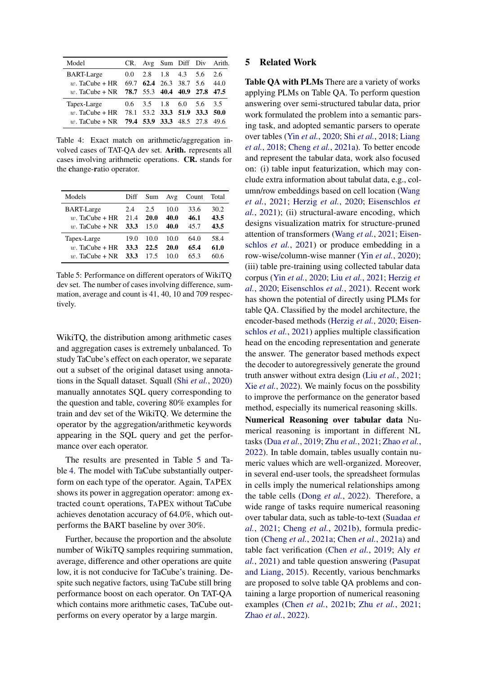<span id="page-7-1"></span>

| Model                                        |  |                                     |  | CR. Avg Sum Diff Div Arith. |
|----------------------------------------------|--|-------------------------------------|--|-----------------------------|
| <b>BART-Large</b>                            |  | $0.0$ 2.8 1.8 4.3 5.6 2.6           |  |                             |
| w. TaCube + HR 69.7 62.4 26.3 38.7 5.6       |  |                                     |  | 44.0                        |
| w. TaCube + NR 78.7 55.3 40.4 40.9 27.8 47.5 |  |                                     |  |                             |
| Tapex-Large                                  |  | $0.6$ $3.5$ $1.8$ $6.0$ $5.6$ $3.5$ |  |                             |
| w. TaCube + HR 78.1 53.2 33.3 51.9 33.3 50.0 |  |                                     |  |                             |
| w. TaCube + NR 79.4 53.9 33.3 48.5 27.8 49.6 |  |                                     |  |                             |

Table 4: Exact match on arithmetic/aggregation involved cases of TAT-QA dev set. Arith. represents all cases involving arithmetic operations. CR. stands for the change-ratio operator.

<span id="page-7-0"></span>

| Models            | Diff | Sum  | Avg  | Count | Total |
|-------------------|------|------|------|-------|-------|
| <b>BART-Large</b> | 2.4  | 2.5  | 10.0 | 33.6  | 30.2  |
| $w$ . TaCube + HR | 21.4 | 20.0 | 40.0 | 46.1  | 43.5  |
| $w$ . TaCube + NR | 33.3 | 15.0 | 40.0 | 45.7  | 43.5  |
| Tapex-Large       | 19.0 | 10.0 | 10.0 | 64.0  | 58.4  |
| $w$ . TaCube + HR | 33.3 | 22.5 | 20.0 | 65.4  | 61.0  |
| $w$ . TaCube + NR | 33.3 | 17.5 | 10.0 | 65.3  | 60.6  |

Table 5: Performance on different operators of WikiTQ dev set. The number of cases involving difference, summation, average and count is 41, 40, 10 and 709 respectively.

WikiTQ, the distribution among arithmetic cases and aggregation cases is extremely unbalanced. To study TaCube's effect on each operator, we separate out a subset of the original dataset using annotations in the Squall dataset. Squall (Shi *[et al.](#page-9-13)*, [2020\)](#page-9-13) manually annotates SQL query corresponding to the question and table, covering 80% examples for train and dev set of the WikiTQ. We determine the operator by the aggregation/arithmetic keywords appearing in the SQL query and get the performance over each operator.

The results are presented in Table [5](#page-7-0) and Table [4.](#page-7-1) The model with TaCube substantially outperform on each type of the operator. Again, TAPEX shows its power in aggregation operator: among extracted count operations, TAPEX without TaCube achieves denotation accuracy of 64.0%, which outperforms the BART baseline by over 30%.

Further, because the proportion and the absolute number of WikiTQ samples requiring summation, average, difference and other operations are quite low, it is not conducive for TaCube's training. Despite such negative factors, using TaCube still bring performance boost on each operator. On TAT-QA which contains more arithmetic cases, TaCube outperforms on every operator by a large margin.

### 5 Related Work

Table QA with PLMs There are a variety of works applying PLMs on Table QA. To perform question answering over semi-structured tabular data, prior work formulated the problem into a semantic parsing task, and adopted semantic parsers to operate over tables (Yin *[et al.](#page-9-3)*, [2020;](#page-9-3) Shi *[et al.](#page-9-16)*, [2018;](#page-9-16) [Liang](#page-9-8) *[et al.](#page-9-8)*, [2018;](#page-9-8) [Cheng](#page-8-0) *et al.*, [2021a\)](#page-8-0). To better encode and represent the tabular data, work also focused on: (i) table input featurization, which may conclude extra information about tabulat data, e.g., column/row embeddings based on cell location [\(Wang](#page-9-14) *[et al.](#page-9-14)*, [2021;](#page-9-14) [Herzig](#page-9-4) *et al.*, [2020;](#page-9-4) [Eisenschlos](#page-8-8) *et [al.](#page-8-8)*, [2021\)](#page-8-8); (ii) structural-aware encoding, which designs visualization matrix for structure-pruned attention of transformers [\(Wang](#page-9-14) *et al.*, [2021;](#page-9-14) [Eisen](#page-8-8)[schlos](#page-8-8) *et al.*, [2021\)](#page-8-8) or produce embedding in a row-wise/column-wise manner (Yin *[et al.](#page-9-3)*, [2020\)](#page-9-3); (iii) table pre-training using collected tabular data corpus (Yin *[et al.](#page-9-3)*, [2020;](#page-9-3) Liu *[et al.](#page-9-5)*, [2021;](#page-9-5) [Herzig](#page-9-4) *et [al.](#page-9-4)*, [2020;](#page-9-4) [Eisenschlos](#page-8-8) *et al.*, [2021\)](#page-8-8). Recent work has shown the potential of directly using PLMs for table QA. Classified by the model architecture, the encoder-based methods [\(Herzig](#page-9-4) *et al.*, [2020;](#page-9-4) [Eisen](#page-8-8)[schlos](#page-8-8) *et al.*, [2021\)](#page-8-8) applies multiple classification head on the encoding representation and generate the answer. The generator based methods expect the decoder to autoregressively generate the ground truth answer without extra design (Liu *[et al.](#page-9-5)*, [2021;](#page-9-5) Xie *[et al.](#page-9-6)*, [2022\)](#page-9-6). We mainly focus on the possbility to improve the performance on the generator based method, especially its numerical reasoning skills.

Numerical Reasoning over tabular data Numerical reasoning is important in different NL tasks (Dua *[et al.](#page-8-9)*, [2019;](#page-8-9) Zhu *[et al.](#page-10-0)*, [2021;](#page-10-0) [Zhao](#page-9-7) *et al.*, [2022\)](#page-9-7). In table domain, tables usually contain numeric values which are well-organized. Moreover, in several end-user tools, the spreadsheet formulas in cells imply the numerical relationships among the table cells [\(Dong](#page-8-1) *et al.*, [2022\)](#page-8-1). Therefore, a wide range of tasks require numerical reasoning over tabular data, such as table-to-text [\(Suadaa](#page-9-17) *et [al.](#page-9-17)*, [2021;](#page-9-17) [Cheng](#page-8-3) *et al.*, [2021b\)](#page-8-3), formula prediction [\(Cheng](#page-8-0) *et al.*, [2021a;](#page-8-0) [Chen](#page-8-10) *et al.*, [2021a\)](#page-8-10) and table fact verification [\(Chen](#page-8-6) *et al.*, [2019;](#page-8-6) [Aly](#page-8-7) *et [al.](#page-8-7)*, [2021\)](#page-8-7) and table question answering [\(Pasupat](#page-9-1) [and Liang,](#page-9-1) [2015\)](#page-9-1). Recently, various benchmarks are proposed to solve table QA problems and containing a large proportion of numerical reasoning examples [\(Chen](#page-8-2) *et al.*, [2021b;](#page-8-2) Zhu *[et al.](#page-10-0)*, [2021;](#page-10-0) [Zhao](#page-9-7) *et al.*, [2022\)](#page-9-7).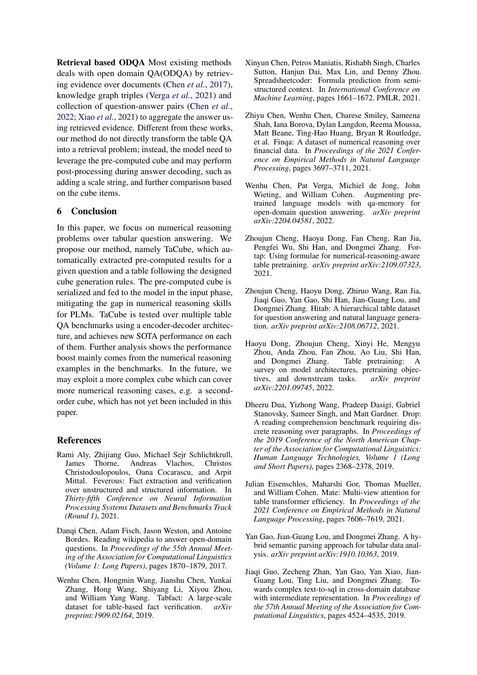Retrieval based ODQA Most existing methods deals with open domain QA(ODQA) by retrieving evidence over documents [\(Chen](#page-8-11) *et al.*, [2017\)](#page-8-11), knowledge graph triples [\(Verga](#page-9-18) *et al.*, [2021\)](#page-9-18) and collection of question-answer pairs [\(Chen](#page-8-12) *et al.*, [2022;](#page-8-12) Xiao *[et al.](#page-9-19)*, [2021\)](#page-9-19) to aggregate the answer using retrieved evidence. Different from these works, our method do not directly transform the table QA into a retrieval problem; instead, the model need to leverage the pre-computed cube and may perform post-processing during answer decoding, such as adding a scale string, and further comparison based on the cube items.

# 6 Conclusion

In this paper, we focus on numerical reasoning problems over tabular question answering. We propose our method, namely TaCube, which automatically extracted pre-computed results for a given question and a table following the designed cube generation rules. The pre-computed cube is serialized and fed to the model in the input phase, mitigating the gap in numerical reasoning skills for PLMs. TaCube is tested over multiple table QA benchmarks using a encoder-decoder architecture, and achieves new SOTA performance on each of them. Further analysis shows the performance boost mainly comes from the numerical reasoning examples in the benchmarks. In the future, we may exploit a more complex cube which can cover more numerical reasoning cases, e.g. a secondorder cube, which has not yet been included in this paper.

### References

- <span id="page-8-7"></span>Rami Aly, Zhijiang Guo, Michael Sejr Schlichtkrull, James Thorne, Andreas Vlachos, Christos Christodoulopoulos, Oana Cocarascu, and Arpit Mittal. Feverous: Fact extraction and verification over unstructured and structured information. In *Thirty-fifth Conference on Neural Information Processing Systems Datasets and Benchmarks Track (Round 1)*, 2021.
- <span id="page-8-11"></span>Danqi Chen, Adam Fisch, Jason Weston, and Antoine Bordes. Reading wikipedia to answer open-domain questions. In *Proceedings of the 55th Annual Meeting of the Association for Computational Linguistics (Volume 1: Long Papers)*, pages 1870–1879, 2017.
- <span id="page-8-6"></span>Wenhu Chen, Hongmin Wang, Jianshu Chen, Yunkai Zhang, Hong Wang, Shiyang Li, Xiyou Zhou, and William Yang Wang. Tabfact: A large-scale dataset for table-based fact verification. *arXiv preprint:1909.02164*, 2019.
- <span id="page-8-10"></span>Xinyun Chen, Petros Maniatis, Rishabh Singh, Charles Sutton, Hanjun Dai, Max Lin, and Denny Zhou. Spreadsheetcoder: Formula prediction from semistructured context. In *International Conference on Machine Learning*, pages 1661–1672. PMLR, 2021.
- <span id="page-8-2"></span>Zhiyu Chen, Wenhu Chen, Charese Smiley, Sameena Shah, Iana Borova, Dylan Langdon, Reema Moussa, Matt Beane, Ting-Hao Huang, Bryan R Routledge, et al. Finqa: A dataset of numerical reasoning over financial data. In *Proceedings of the 2021 Conference on Empirical Methods in Natural Language Processing*, pages 3697–3711, 2021.
- <span id="page-8-12"></span>Wenhu Chen, Pat Verga, Michiel de Jong, John Wieting, and William Cohen. Augmenting pretrained language models with qa-memory for open-domain question answering. *arXiv preprint arXiv:2204.04581*, 2022.
- <span id="page-8-0"></span>Zhoujun Cheng, Haoyu Dong, Fan Cheng, Ran Jia, Pengfei Wu, Shi Han, and Dongmei Zhang. Fortap: Using formulae for numerical-reasoning-aware table pretraining. *arXiv preprint arXiv:2109.07323*, 2021.
- <span id="page-8-3"></span>Zhoujun Cheng, Haoyu Dong, Zhiruo Wang, Ran Jia, Jiaqi Guo, Yan Gao, Shi Han, Jian-Guang Lou, and Dongmei Zhang. Hitab: A hierarchical table dataset for question answering and natural language generation. *arXiv preprint arXiv:2108.06712*, 2021.
- <span id="page-8-1"></span>Haoyu Dong, Zhoujun Cheng, Xinyi He, Mengyu Zhou, Anda Zhou, Fan Zhou, Ao Liu, Shi Han, and Dongmei Zhang. Table pretraining: A survey on model architectures, pretraining objectives, and downstream tasks. *arXiv preprint arXiv:2201.09745*, 2022.
- <span id="page-8-9"></span>Dheeru Dua, Yizhong Wang, Pradeep Dasigi, Gabriel Stanovsky, Sameer Singh, and Matt Gardner. Drop: A reading comprehension benchmark requiring discrete reasoning over paragraphs. In *Proceedings of the 2019 Conference of the North American Chapter of the Association for Computational Linguistics: Human Language Technologies, Volume 1 (Long and Short Papers)*, pages 2368–2378, 2019.
- <span id="page-8-8"></span>Julian Eisenschlos, Maharshi Gor, Thomas Mueller, and William Cohen. Mate: Multi-view attention for table transformer efficiency. In *Proceedings of the 2021 Conference on Empirical Methods in Natural Language Processing*, pages 7606–7619, 2021.
- <span id="page-8-5"></span>Yan Gao, Jian-Guang Lou, and Dongmei Zhang. A hybrid semantic parsing approach for tabular data analysis. *arXiv preprint arXiv:1910.10363*, 2019.
- <span id="page-8-4"></span>Jiaqi Guo, Zecheng Zhan, Yan Gao, Yan Xiao, Jian-Guang Lou, Ting Liu, and Dongmei Zhang. Towards complex text-to-sql in cross-domain database with intermediate representation. In *Proceedings of the 57th Annual Meeting of the Association for Computational Linguistics*, pages 4524–4535, 2019.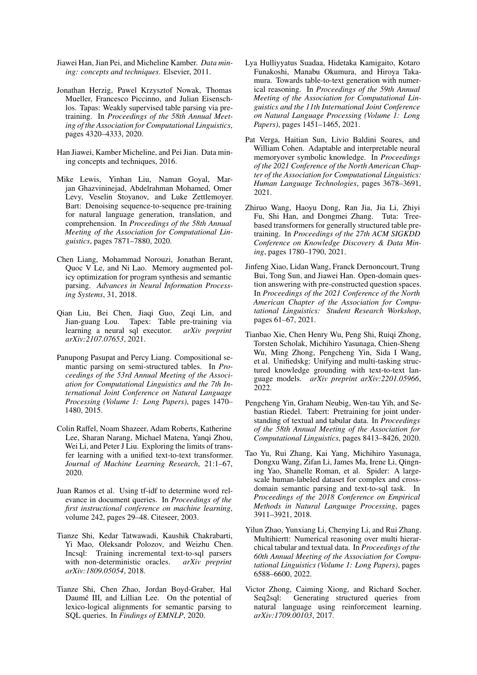- <span id="page-9-12"></span>Jiawei Han, Jian Pei, and Micheline Kamber. *Data mining: concepts and techniques*. Elsevier, 2011.
- <span id="page-9-4"></span>Jonathan Herzig, Pawel Krzysztof Nowak, Thomas Mueller, Francesco Piccinno, and Julian Eisenschlos. Tapas: Weakly supervised table parsing via pretraining. In *Proceedings of the 58th Annual Meeting of the Association for Computational Linguistics*, pages 4320–4333, 2020.
- <span id="page-9-11"></span>Han Jiawei, Kamber Micheline, and Pei Jian. Data mining concepts and techniques, 2016.
- <span id="page-9-10"></span>Mike Lewis, Yinhan Liu, Naman Goyal, Marjan Ghazvininejad, Abdelrahman Mohamed, Omer Levy, Veselin Stoyanov, and Luke Zettlemoyer. Bart: Denoising sequence-to-sequence pre-training for natural language generation, translation, and comprehension. In *Proceedings of the 58th Annual Meeting of the Association for Computational Linguistics*, pages 7871–7880, 2020.
- <span id="page-9-8"></span>Chen Liang, Mohammad Norouzi, Jonathan Berant, Quoc V Le, and Ni Lao. Memory augmented policy optimization for program synthesis and semantic parsing. *Advances in Neural Information Processing Systems*, 31, 2018.
- <span id="page-9-5"></span>Qian Liu, Bei Chen, Jiaqi Guo, Zeqi Lin, and Jian-guang Lou. Tapex: Table pre-training via learning a neural sql executor. *arXiv preprint arXiv:2107.07653*, 2021.
- <span id="page-9-1"></span>Panupong Pasupat and Percy Liang. Compositional semantic parsing on semi-structured tables. In *Proceedings of the 53rd Annual Meeting of the Association for Computational Linguistics and the 7th International Joint Conference on Natural Language Processing (Volume 1: Long Papers)*, pages 1470– 1480, 2015.
- <span id="page-9-9"></span>Colin Raffel, Noam Shazeer, Adam Roberts, Katherine Lee, Sharan Narang, Michael Matena, Yanqi Zhou, Wei Li, and Peter J Liu. Exploring the limits of transfer learning with a unified text-to-text transformer. *Journal of Machine Learning Research*, 21:1–67, 2020.
- <span id="page-9-15"></span>Juan Ramos et al. Using tf-idf to determine word relevance in document queries. In *Proceedings of the first instructional conference on machine learning*, volume 242, pages 29–48. Citeseer, 2003.
- <span id="page-9-16"></span>Tianze Shi, Kedar Tatwawadi, Kaushik Chakrabarti, Yi Mao, Oleksandr Polozov, and Weizhu Chen. Incsql: Training incremental text-to-sql parsers with non-deterministic oracles. *arXiv preprint arXiv:1809.05054*, 2018.
- <span id="page-9-13"></span>Tianze Shi, Chen Zhao, Jordan Boyd-Graber, Hal Daumé III, and Lillian Lee. On the potential of lexico-logical alignments for semantic parsing to SQL queries. In *Findings of EMNLP*, 2020.
- <span id="page-9-17"></span>Lya Hulliyyatus Suadaa, Hidetaka Kamigaito, Kotaro Funakoshi, Manabu Okumura, and Hiroya Takamura. Towards table-to-text generation with numerical reasoning. In *Proceedings of the 59th Annual Meeting of the Association for Computational Linguistics and the 11th International Joint Conference on Natural Language Processing (Volume 1: Long Papers)*, pages 1451–1465, 2021.
- <span id="page-9-18"></span>Pat Verga, Haitian Sun, Livio Baldini Soares, and William Cohen. Adaptable and interpretable neural memoryover symbolic knowledge. In *Proceedings of the 2021 Conference of the North American Chapter of the Association for Computational Linguistics: Human Language Technologies*, pages 3678–3691, 2021.
- <span id="page-9-14"></span>Zhiruo Wang, Haoyu Dong, Ran Jia, Jia Li, Zhiyi Fu, Shi Han, and Dongmei Zhang. Tuta: Treebased transformers for generally structured table pretraining. In *Proceedings of the 27th ACM SIGKDD Conference on Knowledge Discovery & Data Mining*, pages 1780–1790, 2021.
- <span id="page-9-19"></span>Jinfeng Xiao, Lidan Wang, Franck Dernoncourt, Trung Bui, Tong Sun, and Jiawei Han. Open-domain question answering with pre-constructed question spaces. In *Proceedings of the 2021 Conference of the North American Chapter of the Association for Computational Linguistics: Student Research Workshop*, pages 61–67, 2021.
- <span id="page-9-6"></span>Tianbao Xie, Chen Henry Wu, Peng Shi, Ruiqi Zhong, Torsten Scholak, Michihiro Yasunaga, Chien-Sheng Wu, Ming Zhong, Pengcheng Yin, Sida I Wang, et al. Unifiedskg: Unifying and multi-tasking structured knowledge grounding with text-to-text language models. *arXiv preprint arXiv:2201.05966*, 2022.
- <span id="page-9-3"></span>Pengcheng Yin, Graham Neubig, Wen-tau Yih, and Sebastian Riedel. Tabert: Pretraining for joint understanding of textual and tabular data. In *Proceedings of the 58th Annual Meeting of the Association for Computational Linguistics*, pages 8413–8426, 2020.
- <span id="page-9-0"></span>Tao Yu, Rui Zhang, Kai Yang, Michihiro Yasunaga, Dongxu Wang, Zifan Li, James Ma, Irene Li, Qingning Yao, Shanelle Roman, et al. Spider: A largescale human-labeled dataset for complex and crossdomain semantic parsing and text-to-sql task. In *Proceedings of the 2018 Conference on Empirical Methods in Natural Language Processing*, pages 3911–3921, 2018.
- <span id="page-9-7"></span>Yilun Zhao, Yunxiang Li, Chenying Li, and Rui Zhang. Multihiertt: Numerical reasoning over multi hierarchical tabular and textual data. In *Proceedings of the 60th Annual Meeting of the Association for Computational Linguistics (Volume 1: Long Papers)*, pages 6588–6600, 2022.
- <span id="page-9-2"></span>Victor Zhong, Caiming Xiong, and Richard Socher. Seq2sql: Generating structured queries from natural language using reinforcement learning. *arXiv:1709.00103*, 2017.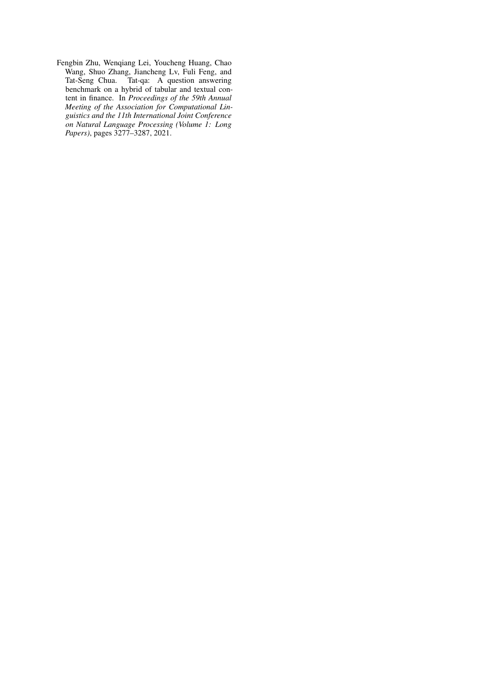<span id="page-10-0"></span>Fengbin Zhu, Wenqiang Lei, Youcheng Huang, Chao Wang, Shuo Zhang, Jiancheng Lv, Fuli Feng, and Tat-Seng Chua. Tat-qa: A question answering benchmark on a hybrid of tabular and textual content in finance. In *Proceedings of the 59th Annual Meeting of the Association for Computational Linguistics and the 11th International Joint Conference on Natural Language Processing (Volume 1: Long Papers)*, pages 3277–3287, 2021.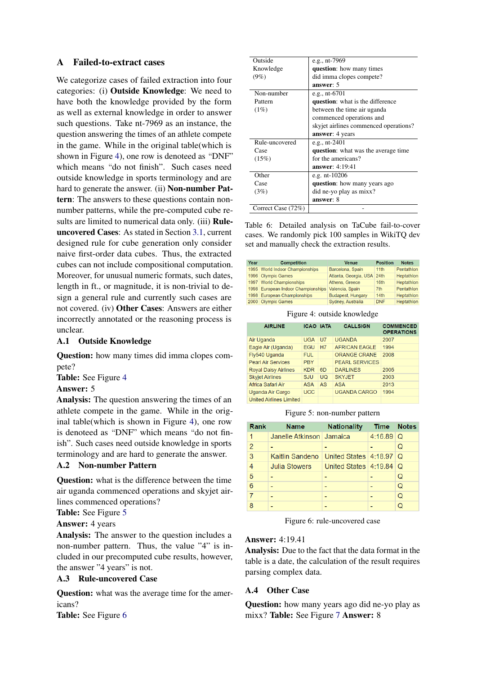# <span id="page-11-0"></span>A Failed-to-extract cases

We categorize cases of failed extraction into four categories: (i) Outside Knowledge: We need to have both the knowledge provided by the form as well as external knowledge in order to answer such questions. Take nt-7969 as an instance, the question answering the times of an athlete compete in the game. While in the original table(which is shown in Figure [4\)](#page-11-1), one row is denoteed as "DNF" which means "do not finish". Such cases need outside knowledge in sports terminology and are hard to generate the answer. (ii) Non-number Pattern: The answers to these questions contain nonnumber patterns, while the pre-computed cube results are limited to numerical data only. (iii) Ruleuncovered Cases: As stated in Section [3.1,](#page-3-0) current designed rule for cube generation only consider naive first-order data cubes. Thus, the extracted cubes can not include compositional computation. Moreover, for unusual numeric formats, such dates, length in ft., or magnitude, it is non-trivial to design a general rule and currently such cases are not covered. (iv) Other Cases: Answers are either incorrectly annotated or the reasoning process is unclear.

# A.1 Outside Knowledge

Question: how many times did imma clopes compete?

Table: See Figure [4](#page-11-1)

# Answer: 5

Analysis: The question answering the times of an athlete compete in the game. While in the original table(which is shown in Figure [4\)](#page-11-1), one row is denoteed as "DNF" which means "do not finish". Such cases need outside knowledge in sports terminology and are hard to generate the answer.

# A.2 Non-number Pattern

Question: what is the difference between the time air uganda commenced operations and skyjet airlines commenced operations?

Table: See Figure [5](#page-11-2)

Answer: 4 years

Analysis: The answer to the question includes a non-number pattern. Thus, the value "4" is included in our precomputed cube results, however, the answer "4 years" is not.

## A.3 Rule-uncovered Case

**Question:** what was the average time for the americans?

Table: See Figure [6](#page-11-3)

| Outside            | e.g., nt-7969                            |
|--------------------|------------------------------------------|
| Knowledge          | question: how many times                 |
| $(9\%)$            | did imma clopes compete?                 |
|                    | answer: 5                                |
| Non-number         | e.g., $nt-6701$                          |
| Pattern            | <b>question</b> : what is the difference |
| $(1\%)$            | between the time air uganda              |
|                    | commenced operations and                 |
|                    | skyjet airlines commenced operations?    |
|                    | answer: 4 years                          |
| Rule-uncovered     | e.g., $nt-2401$                          |
| Case               | question: what was the average time      |
| (15%)              | for the americans?                       |
|                    | <b>answer</b> : 4:19:41                  |
| Other              | e.g. $nt-10206$                          |
| Case               | question: how many years ago             |
| (3%)               | did ne-yo play as mixx?                  |
|                    | answer: 8                                |
| Correct Case (72%) |                                          |

Table 6: Detailed analysis on TaCube fail-to-cover cases. We randomly pick 100 samples in WikiTQ dev set and manually check the extraction results.

<span id="page-11-1"></span>

| Year | <b>Competition</b>                 | <b>Venue</b>               | <b>Position</b> | <b>Notes</b> |
|------|------------------------------------|----------------------------|-----------------|--------------|
|      | 1995 World Indoor Championships    | Barcelona, Spain           | 11th            | Pentathlon   |
|      | 1996 Olympic Games                 | Atlanta, Georgia, USA 24th |                 | Heptathlon   |
|      | 1997 World Championships           | Athens, Greece             | 16th            | Heptathlon   |
|      | 1998 European Indoor Championships | Valencia, Spain            | 7 <sub>th</sub> | Pentathlon   |
|      | 1998 European Championships        | <b>Budapest, Hungary</b>   | 14th            | Heptathlon   |
|      | 2000 Olympic Games                 | Sydney, Australia          | <b>DNF</b>      | Heptathlon   |

Figure 4: outside knowledge

<span id="page-11-2"></span>

| <b>AIRLINE</b>                 | <b>ICAO IATA</b> |                | <b>CALLSIGN</b>       | <b>COMMENCED</b><br><b>OPERATIONS</b> |
|--------------------------------|------------------|----------------|-----------------------|---------------------------------------|
| Air Uganda                     | <b>UGA</b>       | U <sub>7</sub> | <b>UGANDA</b>         | 2007                                  |
| Eagle Air (Uganda)             | <b>EGU</b>       | H7             | AFRICAN FAGLE         | 1994                                  |
| Fly540 Uganda                  | FUL.             |                | <b>ORANGE CRANE</b>   | 2008                                  |
| <b>Pearl Air Services</b>      | <b>PRY</b>       |                | <b>PEARL SERVICES</b> |                                       |
| <b>Royal Daisy Airlines</b>    | <b>KDR</b>       | 6D             | <b>DARLINES</b>       | 2005                                  |
| <b>Skyjet Airlines</b>         | <b>SJU</b>       | <b>UQ</b>      | <b>SKYJET</b>         | 2003                                  |
| Africa Safari Air              | <b>ASA</b>       | AS             | <b>ASA</b>            | 2013                                  |
| Uganda Air Cargo               | <b>UCC</b>       |                | <b>UGANDA CARGO</b>   | 1994                                  |
| <b>United Airlines Limited</b> |                  |                |                       |                                       |

Figure 5: non-number pattern

<span id="page-11-3"></span>

| Rank           | <b>Name</b>                | <b>Nationality</b>         | <b>Time</b> | <b>Notes</b> |
|----------------|----------------------------|----------------------------|-------------|--------------|
| 1              | Janelle Atkinson   Jamaica |                            | $4:16.89$ Q |              |
| $\overline{2}$ |                            |                            |             | Q            |
| 3              | Kaitlin Sandeno            | United States 4:18.97      |             | I Q          |
| 4              | <b>Julia Stowers</b>       | United States $ 4:19.84 Q$ |             |              |
| 5              |                            |                            |             | Q            |
| 6              |                            |                            |             | Q            |
| 7              |                            |                            |             | Q            |
| 8              |                            |                            |             |              |

Figure 6: rule-uncovered case

# Answer: 4:19.41

Analysis: Due to the fact that the data format in the table is a date, the calculation of the result requires parsing complex data.

# A.4 Other Case

Question: how many years ago did ne-yo play as mixx? Table: See Figure [7](#page-12-0) Answer: 8